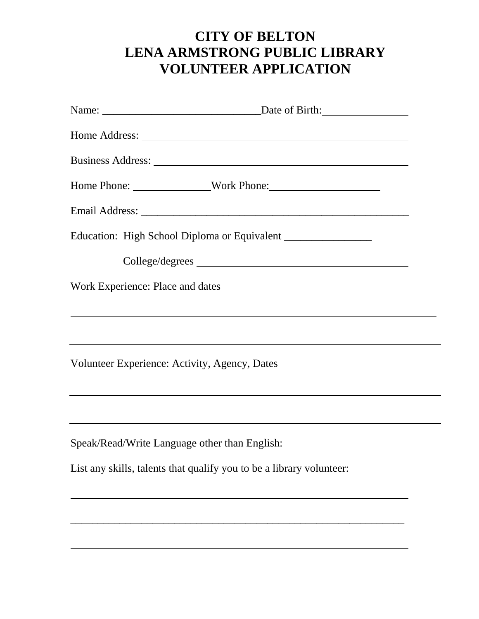|                                               | Home Phone: Work Phone:                                                          |
|-----------------------------------------------|----------------------------------------------------------------------------------|
|                                               |                                                                                  |
|                                               |                                                                                  |
|                                               |                                                                                  |
| Work Experience: Place and dates              |                                                                                  |
|                                               | ,我们也不会有什么。""我们的人,我们也不会有什么?""我们的人,我们也不会有什么?""我们的人,我们也不会有什么?""我们的人,我们也不会有什么?""我们的人 |
|                                               |                                                                                  |
| Volunteer Experience: Activity, Agency, Dates |                                                                                  |
|                                               |                                                                                  |
|                                               |                                                                                  |
|                                               | Speak/Read/Write Language other than English: __________________________________ |
|                                               | List any skills, talents that qualify you to be a library volunteer:             |
|                                               |                                                                                  |
|                                               |                                                                                  |
|                                               |                                                                                  |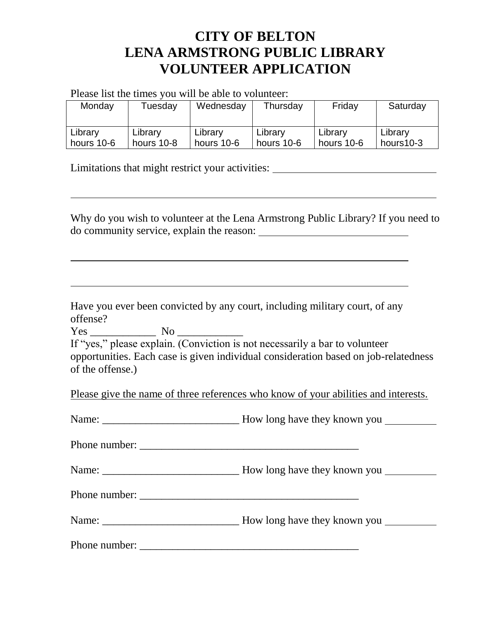Please list the times you will be able to volunteer:

| Monday     | Tuesday    | Wednesday  | Thursday   | Friday     | Saturday  |
|------------|------------|------------|------------|------------|-----------|
| Library    | Library    | Library    | Library    | Library    | Library   |
| hours 10-6 | hours 10-8 | hours 10-6 | hours 10-6 | hours 10-6 | hours10-3 |

Limitations that might restrict your activities:

Why do you wish to volunteer at the Lena Armstrong Public Library? If you need to do community service, explain the reason:

<u> 1980 - Johann Barbara, martxa alemaniar argametar a martxa a shekara a shekara a shekara a shekara a shekara</u>

Have you ever been convicted by any court, including military court, of any offense?

<u> 1989 - Johann Stoff, amerikansk politiker (d. 1989)</u>

Yes \_\_\_\_\_\_\_\_\_\_\_\_ No \_\_\_\_\_\_\_\_\_\_\_\_

| If "yes," please explain. (Conviction is not necessarily a bar to volunteer         |
|-------------------------------------------------------------------------------------|
| opportunities. Each case is given individual consideration based on job-relatedness |
| of the offense.)                                                                    |

Please give the name of three references who know of your abilities and interests.

| How long have they known you |
|------------------------------|
|                              |
|                              |

Phone number: \_\_\_\_\_\_\_\_\_\_\_\_\_\_\_\_\_\_\_\_\_\_\_\_\_\_\_\_\_\_\_\_\_\_\_\_\_\_\_\_

Name: \_\_\_\_\_\_\_\_\_\_\_\_\_\_\_\_\_\_\_\_\_\_\_\_\_ How long have they known you

Phone number:

Name: New long have they known you

Phone number: \_\_\_\_\_\_\_\_\_\_\_\_\_\_\_\_\_\_\_\_\_\_\_\_\_\_\_\_\_\_\_\_\_\_\_\_\_\_\_\_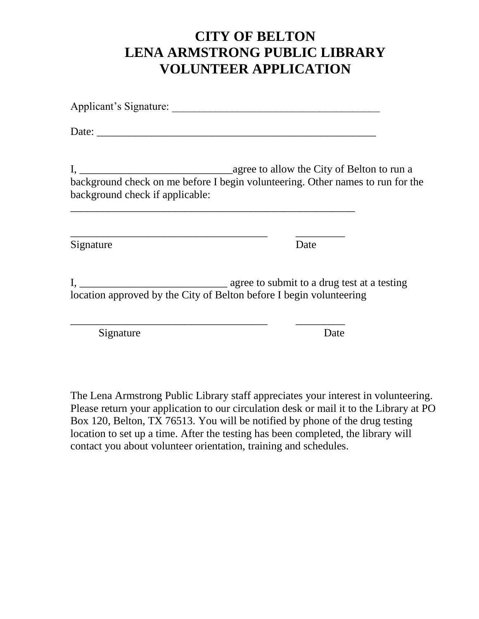| background check if applicable:                                     | background check on me before I begin volunteering. Other names to run for the |
|---------------------------------------------------------------------|--------------------------------------------------------------------------------|
| Signature                                                           | Date                                                                           |
| location approved by the City of Belton before I begin volunteering |                                                                                |
| Signature                                                           | Date                                                                           |

The Lena Armstrong Public Library staff appreciates your interest in volunteering. Please return your application to our circulation desk or mail it to the Library at PO Box 120, Belton, TX 76513. You will be notified by phone of the drug testing location to set up a time. After the testing has been completed, the library will contact you about volunteer orientation, training and schedules.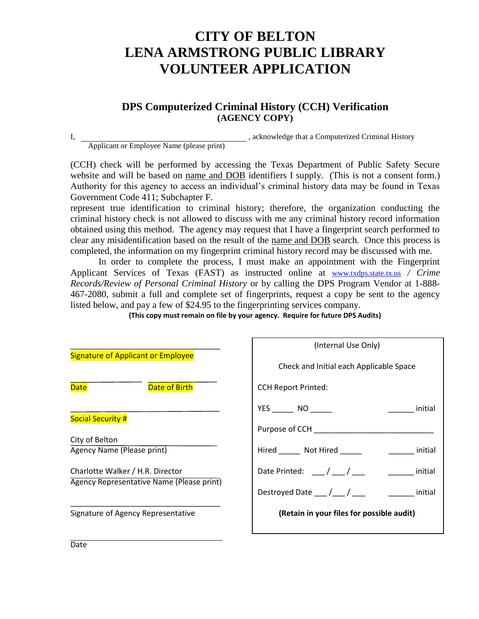### **DPS Computerized Criminal History (CCH) Verification (AGENCY COPY)**

I, construction of the set of the set of the set of the set of the set of the set of the set of the set of the set of the set of the set of the set of the set of the set of the set of the set of the set of the set of the s

Applicant or Employee Name (please print)

(CCH) check will be performed by accessing the Texas Department of Public Safety Secure website and will be based on name and DOB identifiers I supply. (This is not a consent form.) Authority for this agency to access an individual's criminal history data may be found in Texas Government Code 411; Subchapter F.

represent true identification to criminal history; therefore, the organization conducting the criminal history check is not allowed to discuss with me any criminal history record information obtained using this method. The agency may request that I have a fingerprint search performed to clear any misidentification based on the result of the name and DOB search. Once this process is completed, the information on my fingerprint criminal history record may be discussed with me.

In order to complete the process, I must make an appointment with the Fingerprint Applicant Services of Texas (FAST) as instructed online at [www.txdps.state.tx.us](http://www.txdps.state.tx.us/) */ Crime Records/Review of Personal Criminal History* or by calling the DPS Program Vendor at 1-888- 467-2080, submit a full and complete set of fingerprints, request a copy be sent to the agency listed below, and pay a few of \$24.95 to the fingerprinting services company.

**(This copy must remain on file by your agency. Require for future DPS Audits)**

|                                           | (Internal Use Only)                                  |
|-------------------------------------------|------------------------------------------------------|
| <b>Signature of Applicant or Employee</b> | Check and Initial each Applicable Space              |
| Date of Birth<br><b>Date</b>              | <b>CCH Report Printed:</b>                           |
| <b>Social Security #</b>                  | YES NO<br>initial                                    |
|                                           | Purpose of CCH                                       |
| City of Belton                            |                                                      |
| Agency Name (Please print)                | Hired Not Hired<br><u>initial</u>                    |
| Charlotte Walker / H.R. Director          | Date Printed: $\frac{1}{\sqrt{2}}$<br><u>initial</u> |
| Agency Representative Name (Please print) | Destroyed Date $\frac{1}{\sqrt{2}}$<br>initial       |
| Signature of Agency Representative        | (Retain in your files for possible audit)            |
|                                           |                                                      |

**Date**